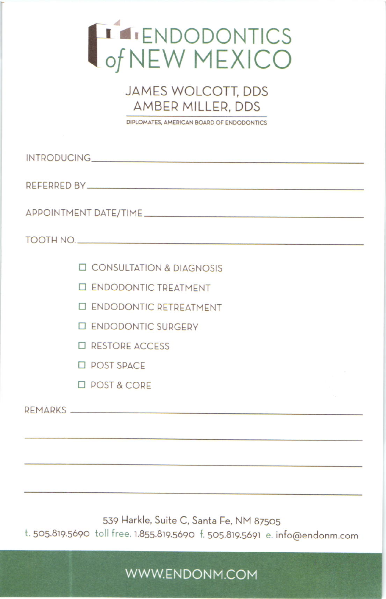## HALENDODONTICS

## **JAMES WOLCOTT, DDS AMBER MILLER, DDS**

DIPLOMATES, AMERICAN BOARD OF ENDODONTICS

REFERRED BY

APPOINTMENT DATE/TIME

TOOTH NO.

- **O CONSULTATION & DIAGNOSIS**
- **ID ENDODONTIC TREATMENT**
- **I ENDODONTIC RETREATMENT**
- **ID ENDODONTIC SURGERY**
- **ID RESTORE ACCESS**
- **D** POST SPACE
- **D** POST & CORE

REMARKS

539 Harkle, Suite C. Santa Fe, NM 87505

t. 505.819.5690 toll free. 1.855.819.5690 f. 505.819.5691 e. info@endonm.com

WWW.ENDONM.COM